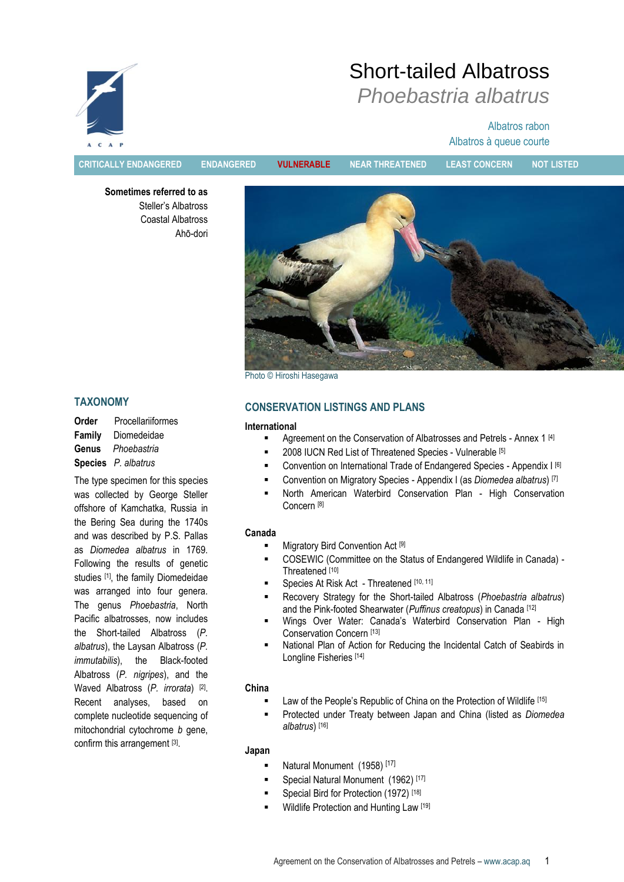

# Short-tailed Albatross *Phoebastria albatrus*

# Albatros rabon Albatros à queue courte

**CRITICALLY ENDANGERED ENDANGERED VULNERABLE NEAR THREATENED LEAST CONCERN NOT LISTED**

**Sometimes referred to as** Steller"s Albatross Coastal Albatross Ahō-dori



Photo © Hiroshi Hasegawa

# **TAXONOMY**

**Order** Procellariiformes **Family** Diomedeidae **Genus** *Phoebastria* **Species** *P. albatrus*

The type specimen for this species was collected by George Steller offshore of Kamchatka, Russia in the Bering Sea during the 1740s and was described by P.S. Pallas as *Diomedea albatrus* in 1769. Following the results of genetic studies <a>[1]</a>, the family Diomedeidae was arranged into four genera. The genus *Phoebastria*, North Pacific albatrosses, now includes the Short-tailed Albatross (*P. albatrus*), the Laysan Albatross (*P. immutabilis*), the Black-footed Albatross (*P. nigripes*), and the Waved Albatross (*P. irrorata*) [2] . Recent analyses, based on complete nucleotide sequencing of mitochondrial cytochrome *b* gene, confirm this arrangement [3].

# **CONSERVATION LISTINGS AND PLANS**

#### **International**

- Agreement on the Conservation of Albatrosses and Petrels Annex 1 [4]
- 2008 IUCN Red List of Threatened Species Vulnerable [5]
- Convention on International Trade of Endangered Species Appendix I [6]
- Convention on Migratory Species Appendix I (as *Diomedea albatrus*) [7]
- North American Waterbird Conservation Plan High Conservation Concern [8]

#### **Canada**

- Migratory Bird Convention Act [9]
- COSEWIC (Committee on the Status of Endangered Wildlife in Canada) Threatened [10]
- Species At Risk Act Threatened [10, 11]
- Recovery Strategy for the Short-tailed Albatross (*Phoebastria albatrus*) and the Pink-footed Shearwater (*Puffinus creatopus*) in Canada [12]
- Wings Over Water: Canada's Waterbird Conservation Plan High Conservation Concern [13]
- National Plan of Action for Reducing the Incidental Catch of Seabirds in Longline Fisheries [14]

## **China**

- Law of the People's Republic of China on the Protection of Wildlife [15]
- Protected under Treaty between Japan and China (listed as *Diomedea albatrus*) [16]

## **Japan**

- Natural Monument (1958) [17]
- Special Natural Monument (1962)<sup>[17]</sup>
- Special Bird for Protection (1972) [18]
- Wildlife Protection and Hunting Law [19]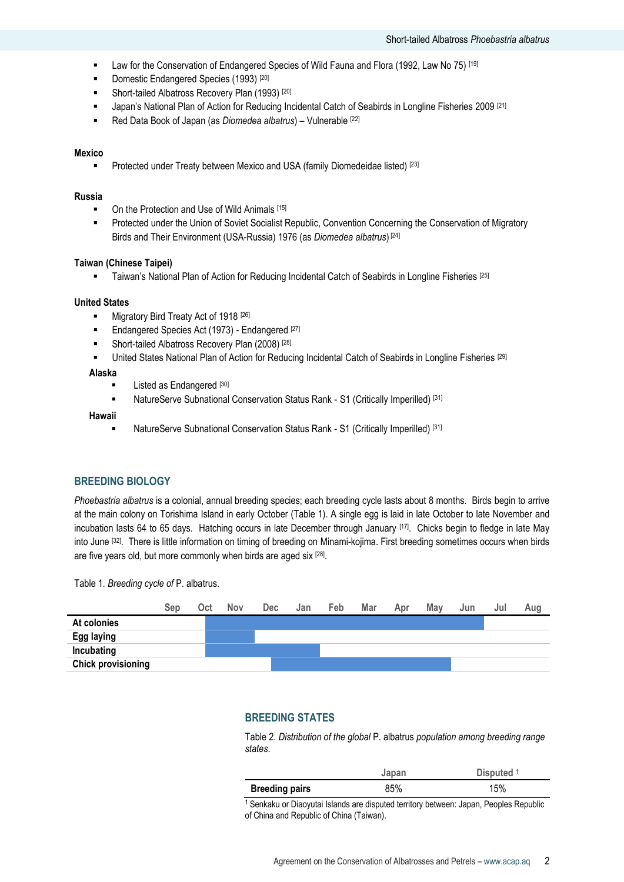- **Example 2** Law for the Conservation of Endangered Species of Wild Fauna and Flora (1992, Law No 75) [19]
- Domestic Endangered Species (1993)<sup>[20]</sup>
- **Short-tailed Albatross Recovery Plan (1993)** [20]
- Japan"s National Plan of Action for Reducing Incidental Catch of Seabirds in Longline Fisheries 2009 [21]
- Red Data Book of Japan (as *Diomedea albatrus*) Vulnerable [22]

#### **Mexico**

Protected under Treaty between Mexico and USA (family Diomedeidae listed) [23]

#### **Russia**

- On the Protection and Use of Wild Animals [15]
- **Protected under the Union of Soviet Socialist Republic, Convention Concerning the Conservation of Migratory** Birds and Their Environment (USA-Russia) 1976 (as *Diomedea albatrus*) [24]

#### **Taiwan (Chinese Taipei)**

**Taiwan's National Plan of Action for Reducing Incidental Catch of Seabirds in Longline Fisheries** [25]

#### **United States**

- Migratory Bird Treaty Act of 1918 [26]
- Endangered Species Act (1973) Endangered [27]
- Short-tailed Albatross Recovery Plan (2008)<sup>[28]</sup>
- United States National Plan of Action for Reducing Incidental Catch of Seabirds in Longline Fisheries [29]

# **Alaska**

- Listed as Endangered [30]
- NatureServe Subnational Conservation Status Rank S1 (Critically Imperilled) [31]

#### **Hawaii**

NatureServe Subnational Conservation Status Rank - S1 (Critically Imperilled) [31]

#### **BREEDING BIOLOGY**

*Phoebastria albatrus* is a colonial, annual breeding species; each breeding cycle lasts about 8 months. Birds begin to arrive at the main colony on Torishima Island in early October (Table 1). A single egg is laid in late October to late November and incubation lasts 64 to 65 days. Hatching occurs in late December through January [17]. Chicks begin to fledge in late May into June [32] . There is little information on timing of breeding on Minami-kojima. First breeding sometimes occurs when birds are five years old, but more commonly when birds are aged six [28].

Table 1*. Breeding cycle of* P. albatrus.



#### **BREEDING STATES**

Table 2. *Distribution of the global* P. albatrus *population among breeding range states*.

|                       | Japan | Disputed <sup>1</sup> |
|-----------------------|-------|-----------------------|
| <b>Breeding pairs</b> | 85%   | 15%                   |

<sup>1</sup> Senkaku or Diaoyutai Islands are disputed territory between: Japan, Peoples Republic of China and Republic of China (Taiwan).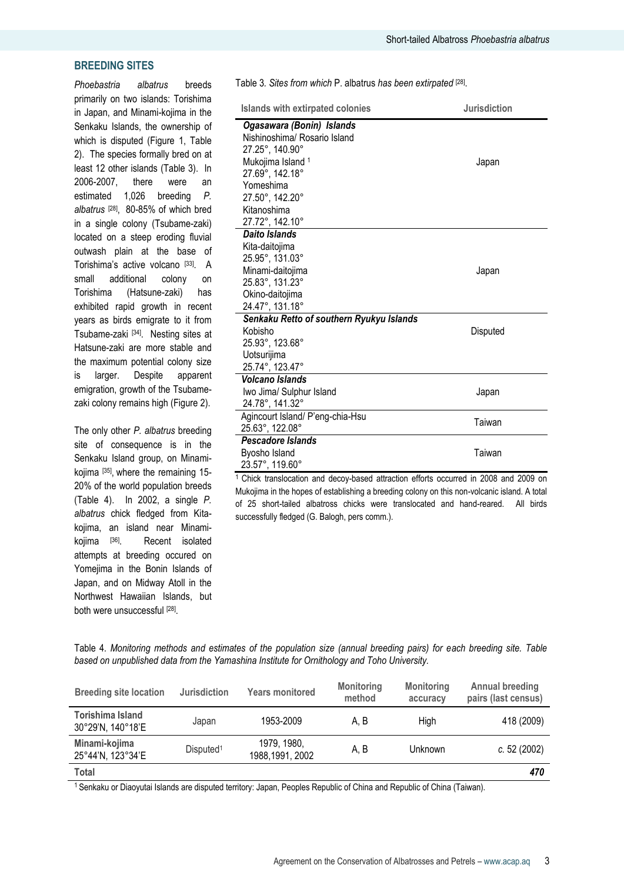## **BREEDING SITES**

*Phoebastria albatrus* breeds primarily on two islands: Torishima in Japan, and Minami-kojima in the Senkaku Islands, the ownership of which is disputed (Figure 1, Table 2). The species formally bred on at least 12 other islands (Table 3). In 2006-2007, there were an estimated 1,026 breeding *P. albatrus* [28] , 80-85% of which bred in a single colony (Tsubame-zaki) located on a steep eroding fluvial outwash plain at the base of Torishima's active volcano [33]. A small additional colony on Torishima (Hatsune-zaki) has exhibited rapid growth in recent years as birds emigrate to it from Tsubame-zaki [34]. Nesting sites at Hatsune-zaki are more stable and the maximum potential colony size is larger. Despite apparent emigration, growth of the Tsubamezaki colony remains high (Figure 2).

The only other *P. albatrus* breeding site of consequence is in the Senkaku Island group, on Minamikojima [<sup>35]</sup>, where the remaining 15-20% of the world population breeds (Table 4). In 2002, a single *P. albatrus* chick fledged from Kitakojima, an island near Minamikojima [36]. Recent isolated attempts at breeding occured on Yomejima in the Bonin Islands of Japan, and on Midway Atoll in the Northwest Hawaiian Islands, but both were unsuccessful [28].

Table 3*. Sites from which* P. albatrus *has been extirpated* [28] .

| Islands with extirpated colonies         | <b>Jurisdiction</b> |
|------------------------------------------|---------------------|
| Ogasawara (Bonin) Islands                |                     |
| Nishinoshima/ Rosario Island             |                     |
| 27.25°, 140.90°                          |                     |
| Mukojima Island <sup>1</sup>             | Japan               |
| 27.69°, 142.18°                          |                     |
| Yomeshima                                |                     |
| 27.50°, 142.20°                          |                     |
| Kitanoshima                              |                     |
| 27.72°, 142.10°                          |                     |
| <b>Daito Islands</b>                     |                     |
| Kita-daitojima                           |                     |
| 25.95°, 131.03°                          |                     |
| Minami-daitojima                         | Japan               |
| 25.83°, 131.23°                          |                     |
| Okino-daitojima                          |                     |
| 24.47°, 131.18°                          |                     |
| Senkaku Retto of southern Ryukyu Islands |                     |
| Kobisho                                  | Disputed            |
| 25.93°, 123.68°                          |                     |
| Uotsurijima                              |                     |
| 25.74°, 123.47°                          |                     |
| Volcano Islands                          |                     |
| Iwo Jima/ Sulphur Island                 | Japan               |
| 24.78°, 141.32°                          |                     |
| Agincourt Island/ P'eng-chia-Hsu         | Taiwan              |
| 25.63°, 122.08°                          |                     |
| Pescadore Islands                        |                     |
| Byosho Island                            | Taiwan              |
| 23.57°, 119.60°                          |                     |

<sup>1</sup>Chick translocation and decoy-based attraction efforts occurred in 2008 and 2009 on Mukojima in the hopes of establishing a breeding colony on this non-volcanic island. A total of 25 short-tailed albatross chicks were translocated and hand-reared. All birds successfully fledged (G. Balogh, pers comm.).

Table 4*. Monitoring methods and estimates of the population size (annual breeding pairs) for each breeding site. Table based on unpublished data from the Yamashina Institute for Ornithology and Toho University.*

| <b>Breeding site location</b>         | <b>Jurisdiction</b>   | <b>Years monitored</b>          | <b>Monitoring</b><br>method | <b>Monitoring</b><br>accuracy | Annual breeding<br>pairs (last census) |
|---------------------------------------|-----------------------|---------------------------------|-----------------------------|-------------------------------|----------------------------------------|
| Torishima Island<br>30°29'N, 140°18'E | Japan                 | 1953-2009                       | A. B                        | High                          | 418 (2009)                             |
| Minami-kojima<br>25°44'N, 123°34'E    | Disputed <sup>1</sup> | 1979, 1980,<br>1988, 1991, 2002 | A, B                        | Unknown                       | c. 52 $(2002)$                         |
| Total                                 |                       |                                 |                             |                               | 470                                    |

<sup>1</sup> Senkaku or Diaoyutai Islands are disputed territory: Japan, Peoples Republic of China and Republic of China (Taiwan).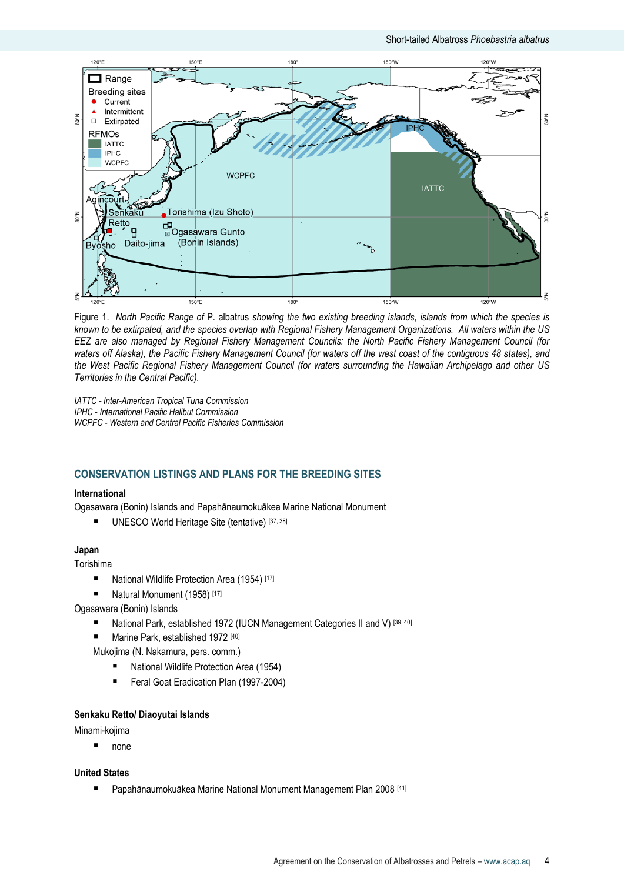

Figure 1. *North Pacific Range of* P. albatrus *showing the two existing breeding islands, islands from which the species is known to be extirpated, and the species overlap with Regional Fishery Management Organizations. All waters within the US EEZ are also managed by Regional Fishery Management Councils: the North Pacific Fishery Management Council (for waters off Alaska), the Pacific Fishery Management Council (for waters off the west coast of the contiguous 48 states), and the West Pacific Regional Fishery Management Council (for waters surrounding the Hawaiian Archipelago and other US Territories in the Central Pacific).*

*IATTC - Inter-American Tropical Tuna Commission IPHC - International Pacific Halibut Commission WCPFC - Western and Central Pacific Fisheries Commission*

## **CONSERVATION LISTINGS AND PLANS FOR THE BREEDING SITES**

#### **International**

Ogasawara (Bonin) Islands and Papahānaumokuākea Marine National Monument

UNESCO World Heritage Site (tentative) [37, 38]

#### **Japan**

Torishima

- National Wildlife Protection Area (1954)<sup>[17]</sup>
- Natural Monument (1958) [17]

Ogasawara (Bonin) Islands

- National Park, established 1972 (IUCN Management Categories II and V)<sup>[39, 40]</sup>
- Marine Park, established 1972 [40]

Mukojima (N. Nakamura, pers. comm.)

- National Wildlife Protection Area (1954)
- Feral Goat Eradication Plan (1997-2004)

#### **Senkaku Retto/ Diaoyutai Islands**

Minami-kojima

■ none

**United States**

■ Papahānaumokuākea Marine National Monument Management Plan 2008<sup>[41]</sup>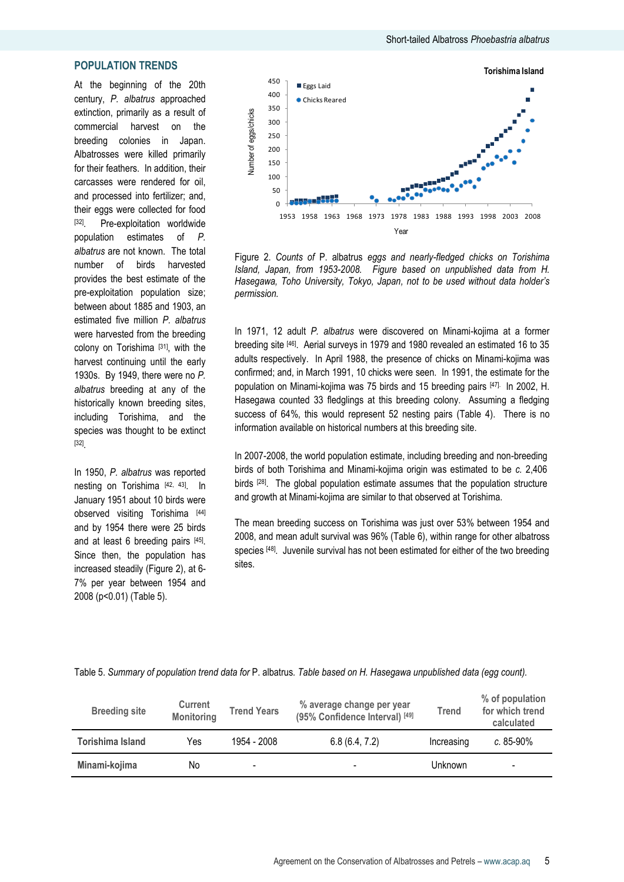#### **POPULATION TRENDS**

At the beginning of the 20th century, *P. albatrus* approached extinction, primarily as a result of commercial harvest on the breeding colonies in Japan. Albatrosses were killed primarily for their feathers. In addition, their carcasses were rendered for oil, and processed into fertilizer; and, their eggs were collected for food [32]. Pre-exploitation worldwide population estimates of *P. albatrus* are not known. The total number of birds harvested provides the best estimate of the pre-exploitation population size; between about 1885 and 1903, an estimated five million *P. albatrus* were harvested from the breeding colony on Torishima [31], with the harvest continuing until the early 1930s. By 1949, there were no *P. albatrus* breeding at any of the historically known breeding sites, including Torishima, and the species was thought to be extinct [32] .

In 1950, *P. albatrus* was reported nesting on Torishima [42, 43]. In January 1951 about 10 birds were observed visiting Torishima [44] and by 1954 there were 25 birds and at least 6 breeding pairs [45]. Since then, the population has increased steadily (Figure 2), at 6- 7% per year between 1954 and 2008 (p<0.01) (Table 5).



Figure 2. *Counts of* P. albatrus *eggs and nearly-fledged chicks on Torishima Island, Japan, from 1953-2008. Figure based on unpublished data from H. Hasegawa, Toho University, Tokyo, Japan, not to be used without data holder's permission.*

In 1971, 12 adult *P. albatrus* were discovered on Minami-kojima at a former breeding site [46]. Aerial surveys in 1979 and 1980 revealed an estimated 16 to 35 adults respectively. In April 1988, the presence of chicks on Minami-kojima was confirmed; and, in March 1991, 10 chicks were seen. In 1991, the estimate for the population on Minami-kojima was 75 birds and 15 breeding pairs [47]. In 2002, H. Hasegawa counted 33 fledglings at this breeding colony. Assuming a fledging success of 64%, this would represent 52 nesting pairs (Table 4). There is no information available on historical numbers at this breeding site.

In 2007-2008, the world population estimate, including breeding and non-breeding birds of both Torishima and Minami-kojima origin was estimated to be *c.* 2,406 birds <sup>[28]</sup>. The global population estimate assumes that the population structure and growth at Minami-kojima are similar to that observed at Torishima.

The mean breeding success on Torishima was just over 53% between 1954 and 2008, and mean adult survival was 96% (Table 6), within range for other albatross species [48]. Juvenile survival has not been estimated for either of the two breeding sites.

| Table 5. Summary of population trend data for P. albatrus. Table based on H. Hasegawa unpublished data (egg count). |  |  |
|---------------------------------------------------------------------------------------------------------------------|--|--|
|---------------------------------------------------------------------------------------------------------------------|--|--|

| <b>Breeding site</b> | <b>Current</b><br><b>Monitoring</b> | <b>Trend Years</b>       | % average change per year<br>(95% Confidence Interval) [49] | <b>Trend</b> | % of population<br>for which trend<br>calculated |
|----------------------|-------------------------------------|--------------------------|-------------------------------------------------------------|--------------|--------------------------------------------------|
| Torishima Island     | Yes                                 | 1954 - 2008              | 6.8(6.4, 7.2)                                               | Increasing   | $c. 85 - 90\%$                                   |
| Minami-kojima        | No                                  | $\overline{\phantom{a}}$ | $\blacksquare$                                              | Unknown      | -                                                |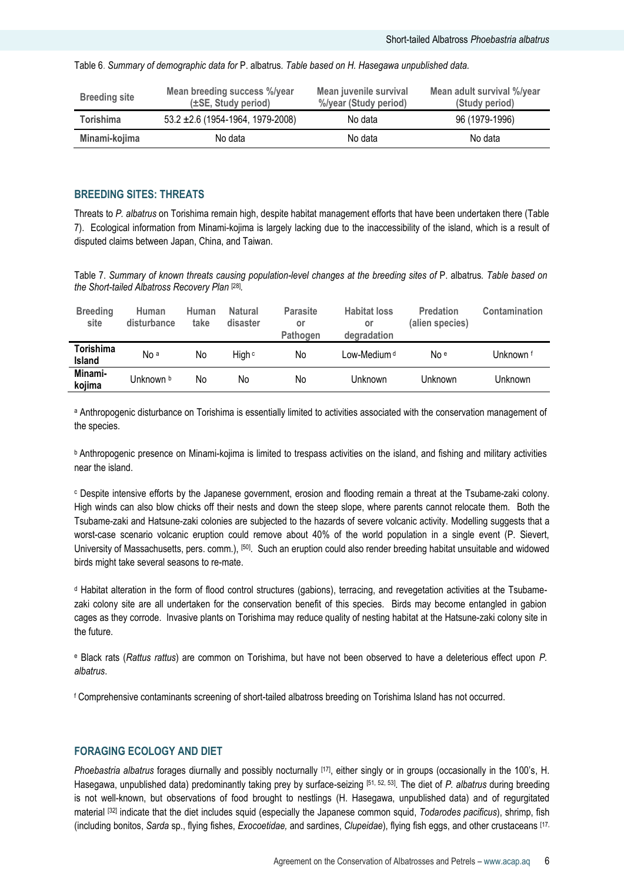Table 6. *Summary of demographic data for* P. albatrus*. Table based on H. Hasegawa unpublished data.*

| <b>Breeding site</b> | Mean breeding success %/year<br>(±SE, Study period) | Mean juvenile survival<br>%/year (Study period) | Mean adult survival %/year<br>(Study period) |
|----------------------|-----------------------------------------------------|-------------------------------------------------|----------------------------------------------|
| Torishima            | $53.2 \pm 2.6$ (1954-1964, 1979-2008)               | No data                                         | 96 (1979-1996)                               |
| Minami-kojima        | No data                                             | No data                                         | No data                                      |

#### **BREEDING SITES: THREATS**

Threats to *P. albatrus* on Torishima remain high, despite habitat management efforts that have been undertaken there (Table 7). Ecological information from Minami-kojima is largely lacking due to the inaccessibility of the island, which is a result of disputed claims between Japan, China, and Taiwan.

Table 7. *Summary of known threats causing population-level changes at the breeding sites of* P. albatrus*. Table based on the Short-tailed Albatross Recovery Plan* [28] *.*

| <b>Breeding</b><br>site    | Human<br>disturbance | Human<br>take | <b>Natural</b><br>disaster | <b>Parasite</b><br>or<br>Pathogen | <b>Habitat loss</b><br>or<br>degradation | <b>Predation</b><br>(alien species) | Contamination |
|----------------------------|----------------------|---------------|----------------------------|-----------------------------------|------------------------------------------|-------------------------------------|---------------|
| Torishima<br><b>Island</b> | No <sup>a</sup>      | No            | High c                     | No                                | Low-Medium <sup>d</sup>                  | No e                                | Unknown f     |
| Minami-<br>kojima          | Unknown b            | No            | No                         | No                                | Unknown                                  | Unknown                             | Unknown       |

a Anthropogenic disturbance on Torishima is essentially limited to activities associated with the conservation management of the species.

**b** Anthropogenic presence on Minami-kojima is limited to trespass activities on the island, and fishing and military activities near the island.

<sup>c</sup> Despite intensive efforts by the Japanese government, erosion and flooding remain a threat at the Tsubame-zaki colony. High winds can also blow chicks off their nests and down the steep slope, where parents cannot relocate them. Both the Tsubame-zaki and Hatsune-zaki colonies are subjected to the hazards of severe volcanic activity. Modelling suggests that a worst-case scenario volcanic eruption could remove about 40% of the world population in a single event (P. Sievert, University of Massachusetts, pers. comm.), [50]. Such an eruption could also render breeding habitat unsuitable and widowed birds might take several seasons to re-mate.

<sup>d</sup> Habitat alteration in the form of flood control structures (gabions), terracing, and revegetation activities at the Tsubamezaki colony site are all undertaken for the conservation benefit of this species. Birds may become entangled in gabion cages as they corrode. Invasive plants on Torishima may reduce quality of nesting habitat at the Hatsune-zaki colony site in the future.

<sup>e</sup> Black rats (*Rattus rattus*) are common on Torishima, but have not been observed to have a deleterious effect upon *P. albatrus*.

<sup>f</sup> Comprehensive contaminants screening of short-tailed albatross breeding on Torishima Island has not occurred.

#### **FORAGING ECOLOGY AND DIET**

*Phoebastria albatrus* forages diurnally and possibly nocturnally [17], either singly or in groups (occasionally in the 100"s, H. Hasegawa, unpublished data) predominantly taking prey by surface-seizing [51, 52, 53] . The diet of *P. albatrus* during breeding is not well-known, but observations of food brought to nestlings (H. Hasegawa, unpublished data) and of regurgitated material [32] indicate that the diet includes squid (especially the Japanese common squid, *Todarodes pacificus*), shrimp, fish (including bonitos, *Sarda* sp., flying fishes, *Exocoetidae,* and sardines, *Clupeidae*), flying fish eggs, and other crustaceans [17,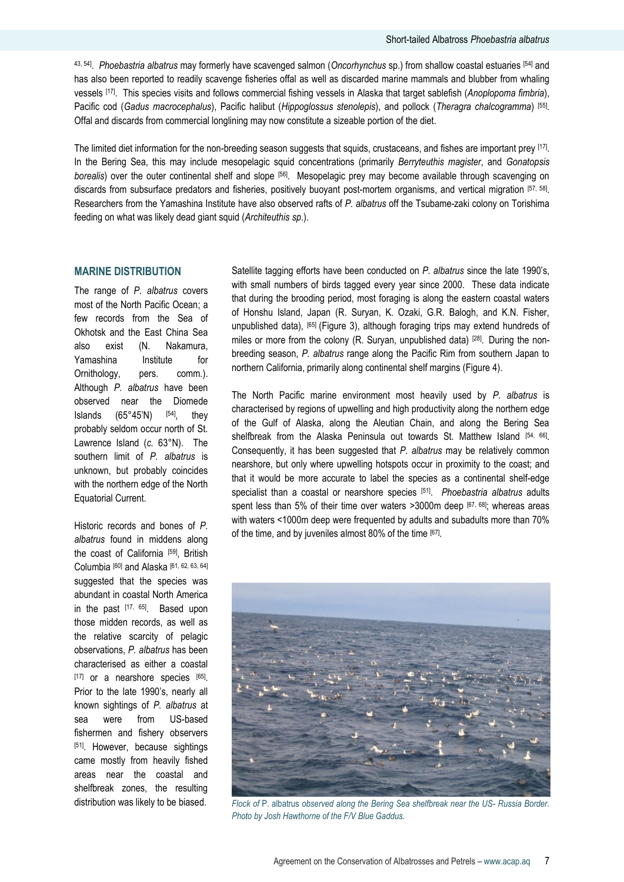43, 54] . *Phoebastria albatrus* may formerly have scavenged salmon (*Oncorhynchus* sp.) from shallow coastal estuaries [54] and has also been reported to readily scavenge fisheries offal as well as discarded marine mammals and blubber from whaling vessels [17] . This species visits and follows commercial fishing vessels in Alaska that target sablefish (*Anoplopoma fimbria*), Pacific cod (*Gadus macrocephalus*), Pacific halibut (*Hippoglossus stenolepis*), and pollock (*Theragra chalcogramma*) [55] . Offal and discards from commercial longlining may now constitute a sizeable portion of the diet.

The limited diet information for the non-breeding season suggests that squids, crustaceans, and fishes are important prey  $^{\rm [17]}$ . In the Bering Sea, this may include mesopelagic squid concentrations (primarily *Berryteuthis magister*, and *Gonatopsis borealis*) over the outer continental shelf and slope [56] . Mesopelagic prey may become available through scavenging on discards from subsurface predators and fisheries, positively buoyant post-mortem organisms, and vertical migration [57, 58] . Researchers from the Yamashina Institute have also observed rafts of *P. albatrus* off the Tsubame-zaki colony on Torishima feeding on what was likely dead giant squid (*Architeuthis sp*.).

#### **MARINE DISTRIBUTION**

The range of *P. albatrus* covers most of the North Pacific Ocean; a few records from the Sea of Okhotsk and the East China Sea also exist (N. Nakamura, Yamashina Institute for Ornithology, pers. comm.). Although *P. albatrus* have been observed near the Diomede Islands  $(65°45'N)$   $[54]$ , they probably seldom occur north of St. Lawrence Island (*c.* 63°N). The southern limit of *P. albatrus* is unknown, but probably coincides with the northern edge of the North Equatorial Current.

Historic records and bones of *P. albatrus* found in middens along the coast of California [59], British Columbia [60] and Alaska [61, 62, 63, 64] suggested that the species was abundant in coastal North America in the past [17, 65]. Based upon those midden records, as well as the relative scarcity of pelagic observations, *P. albatrus* has been characterised as either a coastal [17] or a nearshore species [65]. Prior to the late 1990"s, nearly all known sightings of *P. albatrus* at sea were from US-based fishermen and fishery observers [51]. However, because sightings came mostly from heavily fished areas near the coastal and shelfbreak zones, the resulting distribution was likely to be biased.

Satellite tagging efforts have been conducted on *P. albatrus* since the late 1990"s, with small numbers of birds tagged every year since 2000. These data indicate that during the brooding period, most foraging is along the eastern coastal waters of Honshu Island, Japan (R. Suryan, K. Ozaki, G.R. Balogh, and K.N. Fisher, unpublished data), [65] (Figure 3), although foraging trips may extend hundreds of miles or more from the colony (R. Suryan, unpublished data) [28]. During the nonbreeding season, *P. albatrus* range along the Pacific Rim from southern Japan to northern California, primarily along continental shelf margins (Figure 4).

The North Pacific marine environment most heavily used by *P. albatrus* is characterised by regions of upwelling and high productivity along the northern edge of the Gulf of Alaska, along the Aleutian Chain, and along the Bering Sea shelfbreak from the Alaska Peninsula out towards St. Matthew Island [54, 66] . Consequently, it has been suggested that *P. albatrus* may be relatively common nearshore, but only where upwelling hotspots occur in proximity to the coast; and that it would be more accurate to label the species as a continental shelf-edge specialist than a coastal or nearshore species [51] . *Phoebastria albatrus* adults spent less than 5% of their time over waters >3000m deep [67, 68]; whereas areas with waters <1000m deep were frequented by adults and subadults more than 70% of the time, and by juveniles almost 80% of the time [67].



*Flock of* P. albatrus *observed along the Bering Sea shelfbreak near the US- Russia Border. Photo by Josh Hawthorne of the F/V Blue Gaddus.*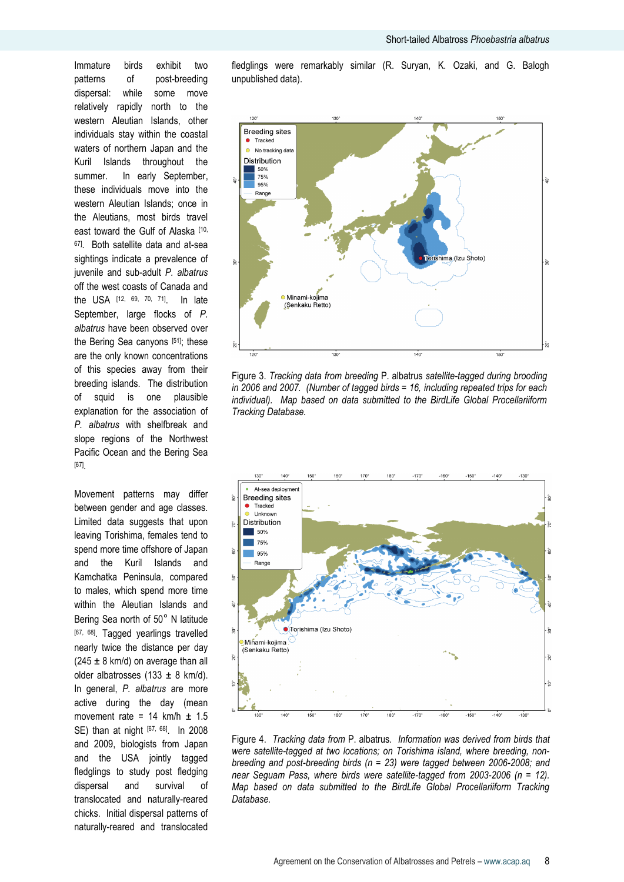Immature birds exhibit two patterns of post-breeding dispersal: while some move relatively rapidly north to the western Aleutian Islands, other individuals stay within the coastal waters of northern Japan and the Kuril Islands throughout the summer. In early September, these individuals move into the western Aleutian Islands; once in the Aleutians, most birds travel east toward the Gulf of Alaska [10, <sup>67]</sup>. Both satellite data and at-sea sightings indicate a prevalence of juvenile and sub-adult *P. albatrus* off the west coasts of Canada and the USA [12, 69, 70, 71]. In late September, large flocks of *P. albatrus* have been observed over the Bering Sea canyons [51]; these are the only known concentrations of this species away from their breeding islands. The distribution of squid is one plausible explanation for the association of *P. albatrus* with shelfbreak and slope regions of the Northwest Pacific Ocean and the Bering Sea [67] .

Movement patterns may differ between gender and age classes. Limited data suggests that upon leaving Torishima, females tend to spend more time offshore of Japan and the Kuril Islands and Kamchatka Peninsula, compared to males, which spend more time within the Aleutian Islands and Bering Sea north of 50° N latitude [67, 68]. Tagged yearlings travelled nearly twice the distance per day  $(245 \pm 8 \text{ km/d})$  on average than all older albatrosses (133  $\pm$  8 km/d). In general, *P. albatrus* are more active during the day (mean movement rate =  $14$  km/h  $\pm$  1.5 SE) than at night [67, 68] .In 2008 and 2009, biologists from Japan and the USA jointly tagged fledglings to study post fledging dispersal and survival of translocated and naturally-reared chicks. Initial dispersal patterns of naturally-reared and translocated

fledglings were remarkably similar (R. Suryan, K. Ozaki, and G. Balogh unpublished data).



Figure 3. *Tracking data from breeding* P. albatrus *satellite-tagged during brooding in 2006 and 2007. (Number of tagged birds = 16, including repeated trips for each individual). Map based on data submitted to the BirdLife Global Procellariiform Tracking Database.*



Figure 4. *Tracking data from* P. albatrus*. Information was derived from birds that were satellite-tagged at two locations; on Torishima island, where breeding, nonbreeding and post-breeding birds (n = 23) were tagged between 2006-2008; and near Seguam Pass, where birds were satellite-tagged from 2003-2006 (n = 12). Map based on data submitted to the BirdLife Global Procellariiform Tracking Database.*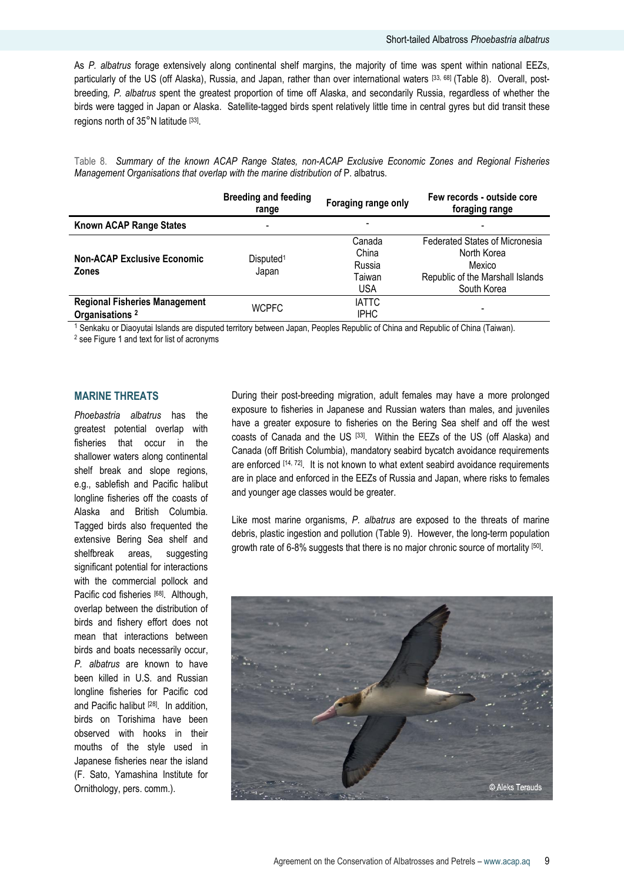As *P. albatrus* forage extensively along continental shelf margins, the majority of time was spent within national EEZs, particularly of the US (off Alaska), Russia, and Japan, rather than over international waters [33, 68] (Table 8). Overall, postbreeding*, P. albatrus* spent the greatest proportion of time off Alaska, and secondarily Russia, regardless of whether the birds were tagged in Japan or Alaska. Satellite-tagged birds spent relatively little time in central gyres but did transit these regions north of 35°N latitude [33].

Table 8. *Summary of the known ACAP Range States, non-ACAP Exclusive Economic Zones and Regional Fisheries Management Organisations that overlap with the marine distribution of* P. albatrus*.*

|                                      | <b>Breeding and feeding</b><br>range | Foraging range only | Few records - outside core<br>foraging range |  |
|--------------------------------------|--------------------------------------|---------------------|----------------------------------------------|--|
| <b>Known ACAP Range States</b>       | $\overline{\phantom{a}}$             |                     |                                              |  |
|                                      |                                      | Canada              | <b>Federated States of Micronesia</b>        |  |
| <b>Non-ACAP Exclusive Economic</b>   |                                      | China               | North Korea                                  |  |
|                                      | Disputed <sup>1</sup>                | Russia              | Mexico                                       |  |
| <b>Zones</b>                         | Japan                                | Taiwan              | Republic of the Marshall Islands             |  |
|                                      |                                      | <b>USA</b>          | South Korea                                  |  |
| <b>Regional Fisheries Management</b> | <b>WCPFC</b>                         | <b>IATTC</b>        |                                              |  |
| Organisations <sup>2</sup>           |                                      | <b>IPHC</b>         |                                              |  |
|                                      |                                      |                     |                                              |  |

<sup>1</sup> Senkaku or Diaoyutai Islands are disputed territory between Japan, Peoples Republic of China and Republic of China (Taiwan).

<sup>2</sup> see Figure 1 and text for list of acronyms

## **MARINE THREATS**

*Phoebastria albatrus* has the greatest potential overlap with fisheries that occur in the shallower waters along continental shelf break and slope regions, e.g., sablefish and Pacific halibut longline fisheries off the coasts of Alaska and British Columbia. Tagged birds also frequented the extensive Bering Sea shelf and shelfbreak areas, suggesting significant potential for interactions with the commercial pollock and Pacific cod fisheries [68]. Although, overlap between the distribution of birds and fishery effort does not mean that interactions between birds and boats necessarily occur, *P. albatrus* are known to have been killed in U.S. and Russian longline fisheries for Pacific cod and Pacific halibut [28]. In addition, birds on Torishima have been observed with hooks in their mouths of the style used in Japanese fisheries near the island (F. Sato, Yamashina Institute for Ornithology, pers. comm.).

During their post-breeding migration, adult females may have a more prolonged exposure to fisheries in Japanese and Russian waters than males, and juveniles have a greater exposure to fisheries on the Bering Sea shelf and off the west coasts of Canada and the US [33] . Within the EEZs of the US (off Alaska) and Canada (off British Columbia), mandatory seabird bycatch avoidance requirements are enforced [14, 72]. It is not known to what extent seabird avoidance requirements are in place and enforced in the EEZs of Russia and Japan, where risks to females and younger age classes would be greater.

Like most marine organisms, *P. albatrus* are exposed to the threats of marine debris, plastic ingestion and pollution (Table 9). However, the long-term population growth rate of 6-8% suggests that there is no major chronic source of mortality [50].

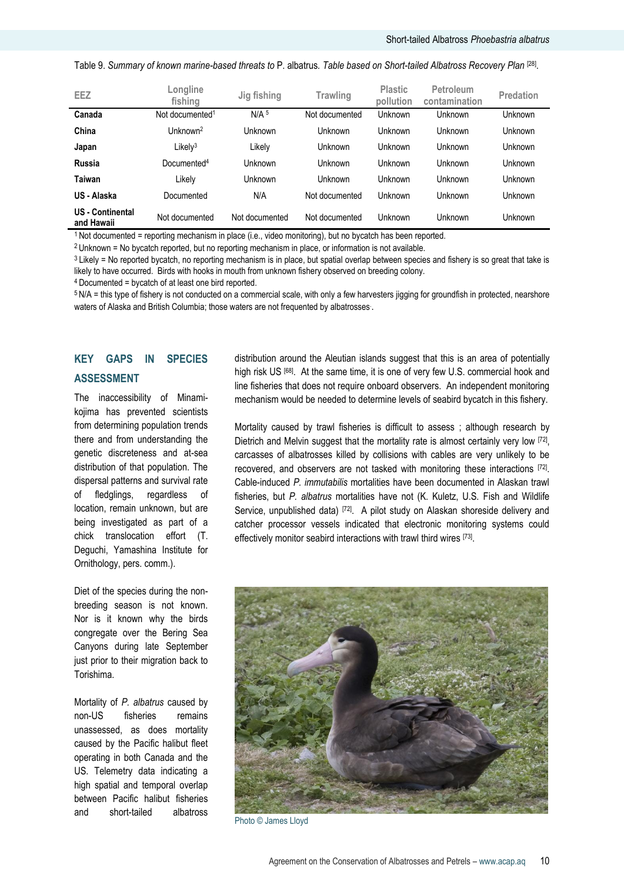|  |  |  |  |  |  |  | Table 9. Summary of known marine-based threats to P. albatrus. Table based on Short-tailed Albatross Recovery Plan [28]. |
|--|--|--|--|--|--|--|--------------------------------------------------------------------------------------------------------------------------|
|--|--|--|--|--|--|--|--------------------------------------------------------------------------------------------------------------------------|

| $N/A$ <sup>5</sup><br>Canada<br>Unknown<br>Not documented <sup>1</sup><br>Not documented<br>Unknown<br>Unknown<br>China<br>Unknown <sup>2</sup><br><b>Unknown</b><br>Unknown<br>Unknown<br>Unknown<br>l Jnknown<br>Likely <sup>3</sup><br>Unknown<br>Unknown<br>Unknown<br>Unknown<br>Likely | EEZ   | Longline<br>fishing | Jig fishing | Trawling | <b>Plastic</b><br>pollution | <b>Petroleum</b><br>contamination | <b>Predation</b> |
|----------------------------------------------------------------------------------------------------------------------------------------------------------------------------------------------------------------------------------------------------------------------------------------------|-------|---------------------|-------------|----------|-----------------------------|-----------------------------------|------------------|
|                                                                                                                                                                                                                                                                                              |       |                     |             |          |                             |                                   |                  |
|                                                                                                                                                                                                                                                                                              |       |                     |             |          |                             |                                   |                  |
|                                                                                                                                                                                                                                                                                              | Japan |                     |             |          |                             |                                   |                  |
| <b>Russia</b><br>Documented <sup>4</sup><br>Unknown<br>Unknown<br>Unknown<br>Unknown<br><b>Unknown</b>                                                                                                                                                                                       |       |                     |             |          |                             |                                   |                  |
| Taiwan<br>Unknown<br>Unknown<br>Likelv<br>Unknown<br>Unknown<br>Unknown                                                                                                                                                                                                                      |       |                     |             |          |                             |                                   |                  |
| N/A<br>US - Alaska<br>Unknown<br>Unknown<br>Unknown<br>Documented<br>Not documented                                                                                                                                                                                                          |       |                     |             |          |                             |                                   |                  |
| <b>US</b> - Continental<br>Unknown<br>Unknown<br><b>Unknown</b><br>Not documented<br>Not documented<br>Not documented<br>and Hawaii                                                                                                                                                          |       |                     |             |          |                             |                                   |                  |

<sup>1</sup> Not documented = reporting mechanism in place (i.e., video monitoring), but no bycatch has been reported.

<sup>2</sup> Unknown = No bycatch reported, but no reporting mechanism in place, or information is not available.

<sup>3</sup> Likely = No reported bycatch, no reporting mechanism is in place, but spatial overlap between species and fishery is so great that take is likely to have occurred. Birds with hooks in mouth from unknown fishery observed on breeding colony.

<sup>4</sup>Documented = bycatch of at least one bird reported.

<sup>5</sup> N/A = this type of fishery is not conducted on a commercial scale, with only a few harvesters jigging for groundfish in protected, nearshore waters of Alaska and British Columbia; those waters are not frequented by albatrosses. .

# **KEY GAPS IN SPECIES ASSESSMENT**

The inaccessibility of Minamikojima has prevented scientists from determining population trends there and from understanding the genetic discreteness and at-sea distribution of that population. The dispersal patterns and survival rate of fledglings, regardless of location, remain unknown, but are being investigated as part of a chick translocation effort (T. Deguchi, Yamashina Institute for Ornithology, pers. comm.).

Diet of the species during the nonbreeding season is not known. Nor is it known why the birds congregate over the Bering Sea Canyons during late September just prior to their migration back to Torishima.

Mortality of *P. albatrus* caused by non-US fisheries remains unassessed, as does mortality caused by the Pacific halibut fleet operating in both Canada and the US. Telemetry data indicating a high spatial and temporal overlap between Pacific halibut fisheries and short-tailed albatross

distribution around the Aleutian islands suggest that this is an area of potentially high risk US [68]. At the same time, it is one of very few U.S. commercial hook and line fisheries that does not require onboard observers. An independent monitoring mechanism would be needed to determine levels of seabird bycatch in this fishery.

Mortality caused by trawl fisheries is difficult to assess ; although research by Dietrich and Melvin suggest that the mortality rate is almost certainly very low [72], carcasses of albatrosses killed by collisions with cables are very unlikely to be recovered, and observers are not tasked with monitoring these interactions [72]. Cable-induced *P. immutabilis* mortalities have been documented in Alaskan trawl fisheries, but *P. albatrus* mortalities have not (K. Kuletz, U.S. Fish and Wildlife Service, unpublished data) [72]. A pilot study on Alaskan shoreside delivery and catcher processor vessels indicated that electronic monitoring systems could effectively monitor seabird interactions with trawl third wires [73].



Photo © James Lloyd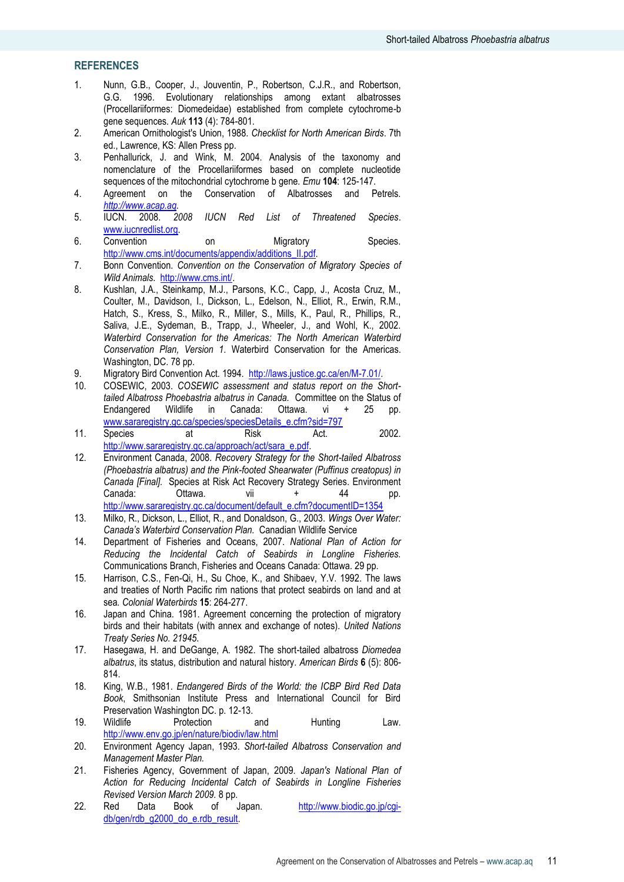## **REFERENCES**

- 1. Nunn, G.B., Cooper, J., Jouventin, P., Robertson, C.J.R., and Robertson, G.G. 1996. Evolutionary relationships among extant albatrosses (Procellariiformes: Diomedeidae) established from complete cytochrome-b gene sequences*. Auk* **113** (4): 784-801.
- 2. American Ornithologist's Union, 1988. *Checklist for North American Birds*. 7th ed., Lawrence, KS: Allen Press pp.
- 3. Penhallurick, J. and Wink, M. 2004. Analysis of the taxonomy and nomenclature of the Procellariiformes based on complete nucleotide sequences of the mitochondrial cytochrome b gene*. Emu* **104**: 125-147.
- 4. Agreement on the Conservation of Albatrosses and Petrels. *[http://www.acap.aq.](http://www.acap.aq/)*
- 5. IUCN. 2008. *2008 IUCN Red List of Threatened Species*. [www.iucnredlist.org.](http://www.iucnredlist.org/)
- 6. Convention on Migratory Species. [http://www.cms.int/documents/appendix/additions\\_II.pdf.](http://www.cms.int/documents/appendix/additions_II.pdf)
- 7. Bonn Convention. *Convention on the Conservation of Migratory Species of Wild Animals*. [http://www.cms.int/.](http://www.cms.int/)
- 8. Kushlan, J.A., Steinkamp, M.J., Parsons, K.C., Capp, J., Acosta Cruz, M., Coulter, M., Davidson, I., Dickson, L., Edelson, N., Elliot, R., Erwin, R.M., Hatch, S., Kress, S., Milko, R., Miller, S., Mills, K., Paul, R., Phillips, R., Saliva, J.E., Sydeman, B., Trapp, J., Wheeler, J., and Wohl, K., 2002. *Waterbird Conservation for the Americas: The North American Waterbird Conservation Plan, Version 1*. Waterbird Conservation for the Americas. Washington, DC. 78 pp.
- 9. Migratory Bird Convention Act. 1994. [http://laws.justice.gc.ca/en/M-7.01/.](http://laws.justice.gc.ca/en/M-7.01/)
- 10. COSEWIC, 2003. *COSEWIC assessment and status report on the Shorttailed Albatross Phoebastria albatrus in Canada.* Committee on the Status of Canada: Ottawa. vi + 25 pp. [www.sararegistry.gc.ca/species/speciesDetails\\_e.cfm?sid=797](http://www.sararegistry.gc.ca/species/speciesDetails_e.cfm?sid=797)
- 11. Species at Risk Act. 2002. [http://www.sararegistry.gc.ca/approach/act/sara\\_e.pdf.](http://www.sararegistry.gc.ca/approach/act/sara_e.pdf)
- 12. Environment Canada, 2008. *Recovery Strategy for the Short-tailed Albatross (Phoebastria albatrus) and the Pink-footed Shearwater (Puffinus creatopus) in Canada [Final].* Species at Risk Act Recovery Strategy Series. Environment Canada: Ottawa. vii + 44 pp. [http://www.sararegistry.gc.ca/document/default\\_e.cfm?documentID=1354](http://www.sararegistry.gc.ca/document/default_e.cfm?documentID=1354)
- 13. Milko, R., Dickson, L., Elliot, R., and Donaldson, G., 2003. *Wings Over Water: Canada's Waterbird Conservation Plan.* Canadian Wildlife Service
- 14. Department of Fisheries and Oceans, 2007. *National Plan of Action for Reducing the Incidental Catch of Seabirds in Longline Fisheries.* Communications Branch, Fisheries and Oceans Canada: Ottawa. 29 pp.
- 15. Harrison, C.S., Fen-Qi, H., Su Choe, K., and Shibaev, Y.V. 1992. The laws and treaties of North Pacific rim nations that protect seabirds on land and at sea*. Colonial Waterbirds* **15**: 264-277.
- 16. Japan and China. 1981. Agreement concerning the protection of migratory birds and their habitats (with annex and exchange of notes)*. United Nations Treaty Series No. 21945*.
- 17. Hasegawa, H. and DeGange, A. 1982. The short-tailed albatross *Diomedea albatrus*, its status, distribution and natural history*. American Birds* **6** (5): 806- 814.
- 18. King, W.B., 1981. *Endangered Birds of the World: the ICBP Bird Red Data Book*, Smithsonian Institute Press and International Council for Bird Preservation Washington DC. p. 12-13.
- 19. Wildlife Protection and Hunting Law. <http://www.env.go.jp/en/nature/biodiv/law.html>
- 20. Environment Agency Japan, 1993. *Short-tailed Albatross Conservation and Management Master Plan.*
- 21. Fisheries Agency, Government of Japan, 2009. *Japan's National Plan of Action for Reducing Incidental Catch of Seabirds in Longline Fisheries Revised Version March 2009.* 8 pp.
- 22. Red Data Book of Japan. [http://www.biodic.go.jp/cgi](http://www.biodic.go.jp/cgi-db/gen/rdb_g2000_do_e.rdb_result)[db/gen/rdb\\_g2000\\_do\\_e.rdb\\_result.](http://www.biodic.go.jp/cgi-db/gen/rdb_g2000_do_e.rdb_result)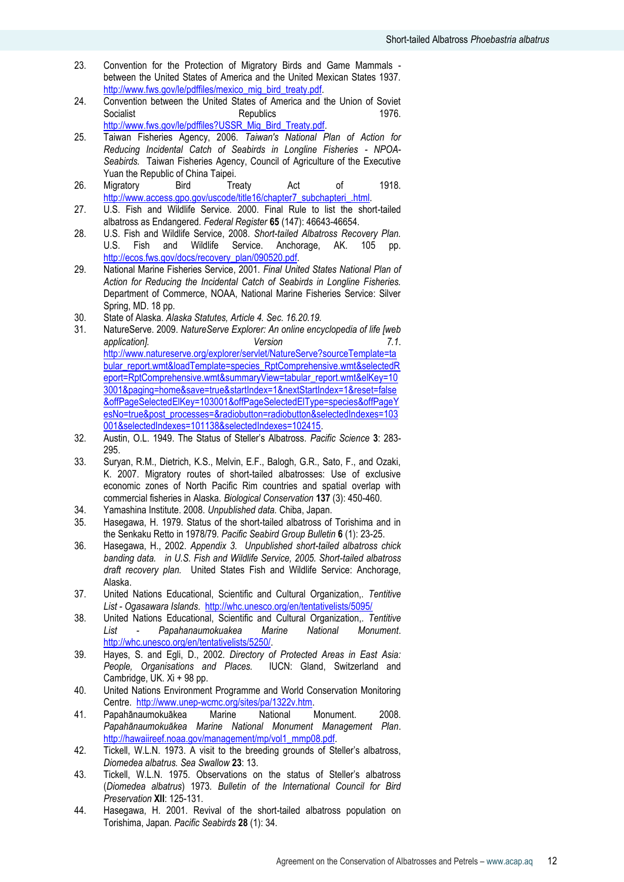- 23. Convention for the Protection of Migratory Birds and Game Mammals between the United States of America and the United Mexican States 1937. [http://www.fws.gov/le/pdffiles/mexico\\_mig\\_bird\\_treaty.pdf.](http://www.fws.gov/le/pdffiles/mexico_mig_bird_treaty.pdf)
- 24. Convention between the United States of America and the Union of Soviet Socialist Republics Republics 1976. [http://www.fws.gov/le/pdffiles?USSR\\_Mig\\_Bird\\_Treaty.pdf.](http://www.fws.gov/le/pdffiles?USSR_Mig_Bird_Treaty.pdf)
- 25. Taiwan Fisheries Agency, 2006. *Taiwan's National Plan of Action for Reducing Incidental Catch of Seabirds in Longline Fisheries - NPOA-Seabirds.* Taiwan Fisheries Agency, Council of Agriculture of the Executive Yuan the Republic of China Taipei.
- 26. Migratory Bird Treaty Act of 1918. [http://www.access.gpo.gov/uscode/title16/chapter7\\_subchapteri\\_.html.](http://www.access.gpo.gov/uscode/title16/chapter7_subchapteri_.html)
- 27. U.S. Fish and Wildlife Service. 2000. Final Rule to list the short-tailed albatross as Endangered*. Federal Register* **65** (147): 46643-46654.
- 28. U.S. Fish and Wildlife Service, 2008. *Short-tailed Albatross Recovery Plan.* U.S. Fish and Wildlife Service. Anchorage, AK. 105 pp. [http://ecos.fws.gov/docs/recovery\\_plan/090520.pdf.](http://ecos.fws.gov/docs/recovery_plan/090520.pdf)
- 29. National Marine Fisheries Service, 2001. *Final United States National Plan of Action for Reducing the Incidental Catch of Seabirds in Longline Fisheries.* Department of Commerce, NOAA, National Marine Fisheries Service: Silver Spring, MD. 18 pp.
- 30. State of Alaska. *Alaska Statutes, Article 4. Sec. 16.20.19.*
- 31. NatureServe. 2009. *NatureServe Explorer: An online encyclopedia of life [web application]. Version 7.1*. [http://www.natureserve.org/explorer/servlet/NatureServe?sourceTemplate=ta](http://www.natureserve.org/explorer/servlet/NatureServe?sourceTemplate=tabular_report.wmt&loadTemplate=species_RptComprehensive.wmt&selectedReport=RptComprehensive.wmt&summaryView=tabular_report.wmt&elKey=103001&paging=home&save=true&startIndex=1&nextStartIndex=1&reset=false&offPageSelectedElKey=103001&offPageSelectedElType=species&offPageYesNo=true&post_processes=&radiobutton=radiobutton&selectedIndexes=103001&selectedIndexes=101138&selectedIndexes=102415) [bular\\_report.wmt&loadTemplate=species\\_RptComprehensive.wmt&selectedR](http://www.natureserve.org/explorer/servlet/NatureServe?sourceTemplate=tabular_report.wmt&loadTemplate=species_RptComprehensive.wmt&selectedReport=RptComprehensive.wmt&summaryView=tabular_report.wmt&elKey=103001&paging=home&save=true&startIndex=1&nextStartIndex=1&reset=false&offPageSelectedElKey=103001&offPageSelectedElType=species&offPageYesNo=true&post_processes=&radiobutton=radiobutton&selectedIndexes=103001&selectedIndexes=101138&selectedIndexes=102415) [eport=RptComprehensive.wmt&summaryView=tabular\\_report.wmt&elKey=10](http://www.natureserve.org/explorer/servlet/NatureServe?sourceTemplate=tabular_report.wmt&loadTemplate=species_RptComprehensive.wmt&selectedReport=RptComprehensive.wmt&summaryView=tabular_report.wmt&elKey=103001&paging=home&save=true&startIndex=1&nextStartIndex=1&reset=false&offPageSelectedElKey=103001&offPageSelectedElType=species&offPageYesNo=true&post_processes=&radiobutton=radiobutton&selectedIndexes=103001&selectedIndexes=101138&selectedIndexes=102415) [3001&paging=home&save=true&startIndex=1&nextStartIndex=1&reset=false](http://www.natureserve.org/explorer/servlet/NatureServe?sourceTemplate=tabular_report.wmt&loadTemplate=species_RptComprehensive.wmt&selectedReport=RptComprehensive.wmt&summaryView=tabular_report.wmt&elKey=103001&paging=home&save=true&startIndex=1&nextStartIndex=1&reset=false&offPageSelectedElKey=103001&offPageSelectedElType=species&offPageYesNo=true&post_processes=&radiobutton=radiobutton&selectedIndexes=103001&selectedIndexes=101138&selectedIndexes=102415) [&offPageSelectedElKey=103001&offPageSelectedElType=species&offPageY](http://www.natureserve.org/explorer/servlet/NatureServe?sourceTemplate=tabular_report.wmt&loadTemplate=species_RptComprehensive.wmt&selectedReport=RptComprehensive.wmt&summaryView=tabular_report.wmt&elKey=103001&paging=home&save=true&startIndex=1&nextStartIndex=1&reset=false&offPageSelectedElKey=103001&offPageSelectedElType=species&offPageYesNo=true&post_processes=&radiobutton=radiobutton&selectedIndexes=103001&selectedIndexes=101138&selectedIndexes=102415) [esNo=true&post\\_processes=&radiobutton=radiobutton&selectedIndexes=103](http://www.natureserve.org/explorer/servlet/NatureServe?sourceTemplate=tabular_report.wmt&loadTemplate=species_RptComprehensive.wmt&selectedReport=RptComprehensive.wmt&summaryView=tabular_report.wmt&elKey=103001&paging=home&save=true&startIndex=1&nextStartIndex=1&reset=false&offPageSelectedElKey=103001&offPageSelectedElType=species&offPageYesNo=true&post_processes=&radiobutton=radiobutton&selectedIndexes=103001&selectedIndexes=101138&selectedIndexes=102415) [001&selectedIndexes=101138&selectedIndexes=102415.](http://www.natureserve.org/explorer/servlet/NatureServe?sourceTemplate=tabular_report.wmt&loadTemplate=species_RptComprehensive.wmt&selectedReport=RptComprehensive.wmt&summaryView=tabular_report.wmt&elKey=103001&paging=home&save=true&startIndex=1&nextStartIndex=1&reset=false&offPageSelectedElKey=103001&offPageSelectedElType=species&offPageYesNo=true&post_processes=&radiobutton=radiobutton&selectedIndexes=103001&selectedIndexes=101138&selectedIndexes=102415)
- 32. Austin, O.L. 1949. The Status of Steller"s Albatross*. Pacific Science* **3**: 283- 295.
- 33. Suryan, R.M., Dietrich, K.S., Melvin, E.F., Balogh, G.R., Sato, F., and Ozaki, K. 2007. Migratory routes of short-tailed albatrosses: Use of exclusive economic zones of North Pacific Rim countries and spatial overlap with commercial fisheries in Alaska*. Biological Conservation* **137** (3): 450-460.
- 34. Yamashina Institute. 2008. *Unpublished data.* Chiba, Japan.
- Hasegawa, H. 1979. Status of the short-tailed albatross of Torishima and in the Senkaku Retto in 1978/79*. Pacific Seabird Group Bulletin* **6** (1): 23-25.
- 36. Hasegawa, H., 2002. *Appendix 3. Unpublished short-tailed albatross chick banding data. in U.S. Fish and Wildlife Service, 2005. Short-tailed albatross draft recovery plan.* United States Fish and Wildlife Service: Anchorage, Alaska.
- 37. United Nations Educational, Scientific and Cultural Organization,. *Tentitive List - Ogasawara Islands*. <http://whc.unesco.org/en/tentativelists/5095/>
- 38. United Nations Educational, Scientific and Cultural Organization,. *Tentitive List - Papahanaumokuakea Marine National Monument*. [http://whc.unesco.org/en/tentativelists/5250/.](http://whc.unesco.org/en/tentativelists/5250/)
- 39. Hayes, S. and Egli, D., 2002. *Directory of Protected Areas in East Asia: People, Organisations and Places.* IUCN: Gland, Switzerland and Cambridge, UK. Xi + 98 pp.
- 40. United Nations Environment Programme and World Conservation Monitoring Centre. [http://www.unep-wcmc.org/sites/pa/1322v.htm.](http://www.unep-wcmc.org/sites/pa/1322v.htm)
- 41. Papahānaumokuākea Marine National Monument. 2008. *Papahānaumokuākea Marine National Monument Management Plan*. [http://hawaiireef.noaa.gov/management/mp/vol1\\_mmp08.pdf.](http://hawaiireef.noaa.gov/management/mp/vol1_mmp08.pdf)
- 42. Tickell, W.L.N. 1973. A visit to the breeding grounds of Steller"s albatross, *Diomedea albatrus. Sea Swallow* **23**: 13.
- 43. Tickell, W.L.N. 1975. Observations on the status of Steller"s albatross (*Diomedea albatrus*) 1973*. Bulletin of the International Council for Bird Preservation* **XII**: 125-131.
- 44. Hasegawa, H. 2001. Revival of the short-tailed albatross population on Torishima, Japan*. Pacific Seabirds* **28** (1): 34.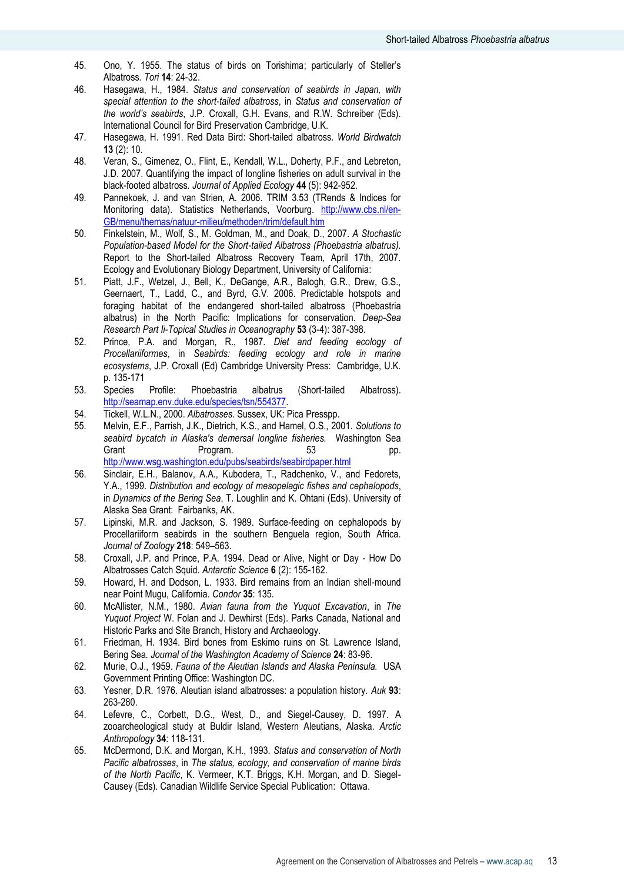- 45. Ono, Y. 1955. The status of birds on Torishima; particularly of Steller"s Albatross*. Tori* **14**: 24-32.
- 46. Hasegawa, H., 1984. *Status and conservation of seabirds in Japan, with special attention to the short-tailed albatross*, in *Status and conservation of the world's seabirds*, J.P. Croxall, G.H. Evans, and R.W. Schreiber (Eds). International Council for Bird Preservation Cambridge, U.K.
- 47. Hasegawa, H. 1991. Red Data Bird: Short-tailed albatross*. World Birdwatch*  **13** (2): 10.
- 48. Veran, S., Gimenez, O., Flint, E., Kendall, W.L., Doherty, P.F., and Lebreton, J.D. 2007. Quantifying the impact of longline fisheries on adult survival in the black-footed albatross*. Journal of Applied Ecology* **44** (5): 942-952.
- 49. Pannekoek, J. and van Strien, A. 2006. TRIM 3.53 (TRends & Indices for Monitoring data). Statistics Netherlands, Voorburg. [http://www.cbs.nl/en-](http://www.cbs.nl/en-GB/menu/themas/natuur-milieu/methoden/trim/default.htm)[GB/menu/themas/natuur-milieu/methoden/trim/default.htm](http://www.cbs.nl/en-GB/menu/themas/natuur-milieu/methoden/trim/default.htm)
- 50. Finkelstein, M., Wolf, S., M. Goldman, M., and Doak, D., 2007. *A Stochastic Population-based Model for the Short-tailed Albatross (Phoebastria albatrus).* Report to the Short-tailed Albatross Recovery Team, April 17th, 2007. Ecology and Evolutionary Biology Department, University of California:
- 51. Piatt, J.F., Wetzel, J., Bell, K., DeGange, A.R., Balogh, G.R., Drew, G.S., Geernaert, T., Ladd, C., and Byrd, G.V. 2006. Predictable hotspots and foraging habitat of the endangered short-tailed albatross (Phoebastria albatrus) in the North Pacific: Implications for conservation*. Deep-Sea Research Part Ii-Topical Studies in Oceanography* **53** (3-4): 387-398.
- 52. Prince, P.A. and Morgan, R., 1987. *Diet and feeding ecology of Procellariiformes*, in *Seabirds: feeding ecology and role in marine ecosystems*, J.P. Croxall (Ed) Cambridge University Press: Cambridge, U.K. p. 135-171
- 53. Species Profile: Phoebastria albatrus (Short-tailed Albatross). [http://seamap.env.duke.edu/species/tsn/554377.](http://seamap.env.duke.edu/species/tsn/554377)
- 54. Tickell, W.L.N., 2000. *Albatrosses*. Sussex, UK: Pica Presspp.
- 55. Melvin, E.F., Parrish, J.K., Dietrich, K.S., and Hamel, O.S., 2001. *Solutions to seabird bycatch in Alaska's demersal longline fisheries.* Washington Sea Grant Program. 53 pp. <http://www.wsg.washington.edu/pubs/seabirds/seabirdpaper.html>
- 56. Sinclair, E.H., Balanov, A.A., Kubodera, T., Radchenko, V., and Fedorets, Y.A., 1999. *Distribution and ecology of mesopelagic fishes and cephalopods*, in *Dynamics of the Bering Sea*, T. Loughlin and K. Ohtani (Eds). University of Alaska Sea Grant: Fairbanks, AK.
- 57. Lipinski, M.R. and Jackson, S. 1989. Surface-feeding on cephalopods by Procellariiform seabirds in the southern Benguela region, South Africa*. Journal of Zoology* **218**: 549–563.
- 58. Croxall, J.P. and Prince, P.A. 1994. Dead or Alive, Night or Day How Do Albatrosses Catch Squid*. Antarctic Science* **6** (2): 155-162.
- 59. Howard, H. and Dodson, L. 1933. Bird remains from an Indian shell-mound near Point Mugu, California*. Condor* **35**: 135.
- 60. McAllister, N.M., 1980. *Avian fauna from the Yuquot Excavation*, in *The Yuquot Project* W. Folan and J. Dewhirst (Eds). Parks Canada, National and Historic Parks and Site Branch, History and Archaeology.
- 61. Friedman, H. 1934. Bird bones from Eskimo ruins on St. Lawrence Island, Bering Sea*. Journal of the Washington Academy of Science* **24**: 83-96.
- 62. Murie, O.J., 1959. *Fauna of the Aleutian Islands and Alaska Peninsula.* USA Government Printing Office: Washington DC.
- 63. Yesner, D.R. 1976. Aleutian island albatrosses: a population history*. Auk* **93**: 263-280.
- 64. Lefevre, C., Corbett, D.G., West, D., and Siegel-Causey, D. 1997. A zooarcheological study at Buldir Island, Western Aleutians, Alaska*. Arctic Anthropology* **34**: 118-131.
- 65. McDermond, D.K. and Morgan, K.H., 1993. *Status and conservation of North Pacific albatrosses*, in *The status, ecology, and conservation of marine birds of the North Pacific*, K. Vermeer, K.T. Briggs, K.H. Morgan, and D. Siegel-Causey (Eds). Canadian Wildlife Service Special Publication: Ottawa.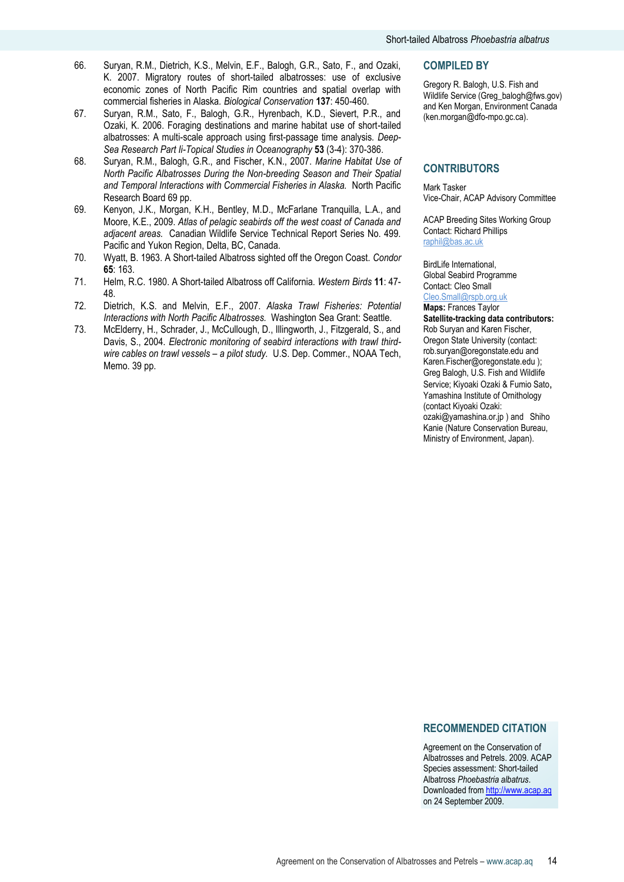- 67. Suryan, R.M., Sato, F., Balogh, G.R., Hyrenbach, K.D., Sievert, P.R., and Ozaki, K. 2006. Foraging destinations and marine habitat use of short-tailed albatrosses: A multi-scale approach using first-passage time analysis*. Deep-Sea Research Part Ii-Topical Studies in Oceanography* **53** (3-4): 370-386.
- 68. Suryan, R.M., Balogh, G.R., and Fischer, K.N., 2007. *Marine Habitat Use of North Pacific Albatrosses During the Non-breeding Season and Their Spatial and Temporal Interactions with Commercial Fisheries in Alaska.* North Pacific Research Board 69 pp.
- 69. Kenyon, J.K., Morgan, K.H., Bentley, M.D., McFarlane Tranquilla, L.A., and Moore, K.E., 2009. *Atlas of pelagic seabirds off the west coast of Canada and adjacent areas.* Canadian Wildlife Service Technical Report Series No. 499. Pacific and Yukon Region, Delta, BC, Canada.
- 70. Wyatt, B. 1963. A Short-tailed Albatross sighted off the Oregon Coast*. Condor* **65**: 163.
- 71. Helm, R.C. 1980. A Short-tailed Albatross off California*. Western Birds* **11**: 47- 48.
- 72. Dietrich, K.S. and Melvin, E.F., 2007. *Alaska Trawl Fisheries: Potential Interactions with North Pacific Albatrosses.* Washington Sea Grant: Seattle.
- 73. McElderry, H., Schrader, J., McCullough, D., Illingworth, J., Fitzgerald, S., and Davis, S., 2004. *Electronic monitoring of seabird interactions with trawl thirdwire cables on trawl vessels – a pilot study.* U.S. Dep. Commer., NOAA Tech, Memo. 39 pp.

#### **COMPILED BY**

Gregory R. Balogh, U.S. Fish and Wildlife Service (Greg\_balogh@fws.gov) and Ken Morgan, Environment Canada (ken.morgan@dfo-mpo.gc.ca).

# **CONTRIBUTORS**

Mark Tasker Vice-Chair, ACAP Advisory Committee

ACAP Breeding Sites Working Group Contact: Richard Phillips [raphil@bas.ac.uk](mailto:raphil@bas.ac.uk)

BirdLife International, Global Seabird Programme Contact: Cleo Small Cleo.Small@rspb.org.uk

#### **Maps:** Frances Taylor **Satellite-tracking data contributors:** Rob Suryan and Karen Fischer, Oregon State University (contact: rob.suryan@oregonstate.edu and Karen.Fischer@oregonstate.edu ); Greg Balogh, U.S. Fish and Wildlife Service; Kiyoaki Ozaki & Fumio Sato, Yamashina Institute of Ornithology (contact Kiyoaki Ozaki: ozaki@yamashina.or.jp ) and Shiho Kanie (Nature Conservation Bureau, Ministry of Environment, Japan).

## **RECOMMENDED CITATION**

Agreement on the Conservation of Albatrosses and Petrels. 2009. ACAP Species assessment: Short-tailed Albatross *Phoebastria albatrus*. Downloaded from [http://www.acap.aq](http://www.acap.aq/) on 24 September 2009.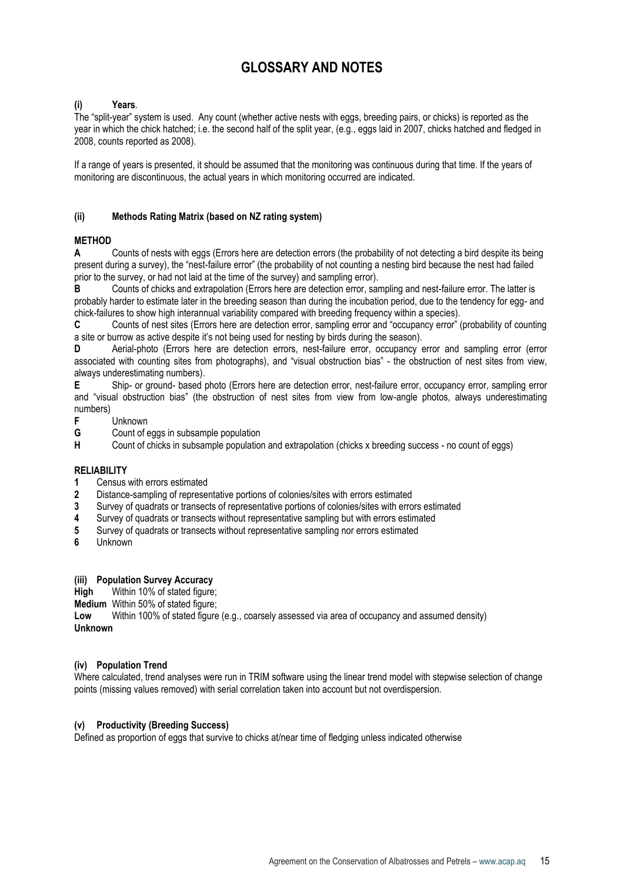# **GLOSSARY AND NOTES**

#### **(i) Years**.

The "split-year" system is used. Any count (whether active nests with eggs, breeding pairs, or chicks) is reported as the year in which the chick hatched; i.e. the second half of the split year, (e.g., eggs laid in 2007, chicks hatched and fledged in 2008, counts reported as 2008).

If a range of years is presented, it should be assumed that the monitoring was continuous during that time. If the years of monitoring are discontinuous, the actual years in which monitoring occurred are indicated.

#### **(ii) Methods Rating Matrix (based on NZ rating system)**

## **METHOD**

**A** Counts of nests with eggs (Errors here are detection errors (the probability of not detecting a bird despite its being present during a survey), the "nest-failure error" (the probability of not counting a nesting bird because the nest had failed prior to the survey, or had not laid at the time of the survey) and sampling error).

**B** Counts of chicks and extrapolation (Errors here are detection error, sampling and nest-failure error. The latter is probably harder to estimate later in the breeding season than during the incubation period, due to the tendency for egg- and chick-failures to show high interannual variability compared with breeding frequency within a species).

**C** Counts of nest sites (Errors here are detection error, sampling error and "occupancy error" (probability of counting a site or burrow as active despite it's not being used for nesting by birds during the season).

**D** Aerial-photo (Errors here are detection errors, nest-failure error, occupancy error and sampling error (error associated with counting sites from photographs), and "visual obstruction bias" - the obstruction of nest sites from view, always underestimating numbers).

**E** Ship- or ground- based photo (Errors here are detection error, nest-failure error, occupancy error, sampling error and "visual obstruction bias" (the obstruction of nest sites from view from low-angle photos, always underestimating numbers)

- **F** Unknown<br>**G** Count of e
- **G** Count of eggs in subsample population<br> **H** Count of chicks in subsample population
- **H** Count of chicks in subsample population and extrapolation (chicks x breeding success no count of eggs)

#### **RELIABILITY**

- **1** Census with errors estimated
- **2** Distance-sampling of representative portions of colonies/sites with errors estimated
- **3** Survey of quadrats or transects of representative portions of colonies/sites with errors estimated
- **4** Survey of quadrats or transects without representative sampling but with errors estimated
- **5** Survey of quadrats or transects without representative sampling nor errors estimated<br>**6** Unknown
- **6** Unknown

## **(iii) Population Survey Accuracy**

**High** Within 10% of stated figure;

**Medium** Within 50% of stated figure;<br>**Low** Within 100% of stated figure

**Low** Within 100% of stated figure (e.g., coarsely assessed via area of occupancy and assumed density) **Unknown**

#### **(iv) Population Trend**

Where calculated, trend analyses were run in TRIM software using the linear trend model with stepwise selection of change points (missing values removed) with serial correlation taken into account but not overdispersion.

#### **(v) Productivity (Breeding Success)**

Defined as proportion of eggs that survive to chicks at/near time of fledging unless indicated otherwise